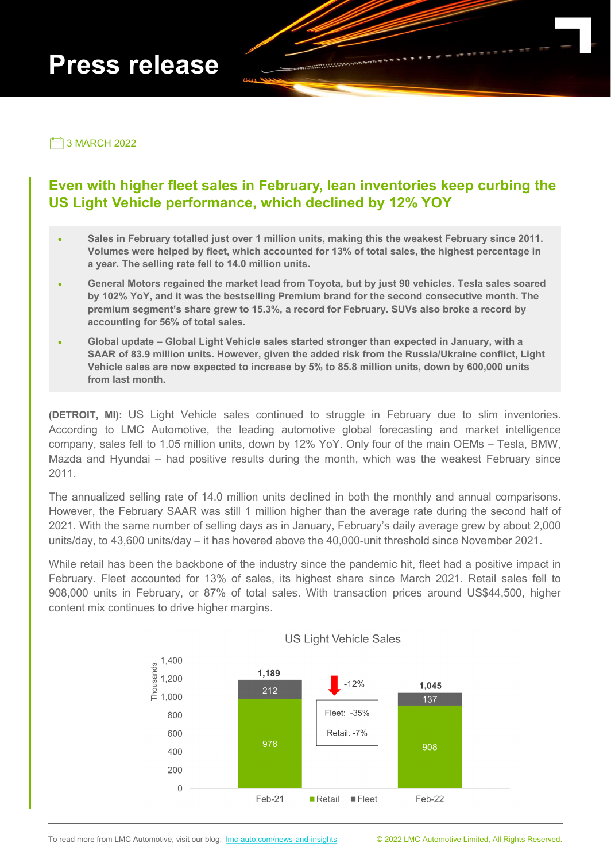# **Press release**

3 MARCH 2022

# **Even with higher fleet sales in February, lean inventories keep curbing the US Light Vehicle performance, which declined by 12% YOY**

- **Sales in February totalled just over 1 million units, making this the weakest February since 2011. Volumes were helped by fleet, which accounted for 13% of total sales, the highest percentage in a year. The selling rate fell to 14.0 million units.**
- **General Motors regained the market lead from Toyota, but by just 90 vehicles. Tesla sales soared by 102% YoY, and it was the bestselling Premium brand for the second consecutive month. The premium segment's share grew to 15.3%, a record for February. SUVs also broke a record by accounting for 56% of total sales.**
- **Global update – Global Light Vehicle sales started stronger than expected in January, with a SAAR of 83.9 million units. However, given the added risk from the Russia/Ukraine conflict, Light Vehicle sales are now expected to increase by 5% to 85.8 million units, down by 600,000 units from last month.**

**(DETROIT, MI):** US Light Vehicle sales continued to struggle in February due to slim inventories. According to LMC Automotive, the leading automotive global forecasting and market intelligence company, sales fell to 1.05 million units, down by 12% YoY. Only four of the main OEMs – Tesla, BMW, Mazda and Hyundai – had positive results during the month, which was the weakest February since 2011.

The annualized selling rate of 14.0 million units declined in both the monthly and annual comparisons. However, the February SAAR was still 1 million higher than the average rate during the second half of 2021. With the same number of selling days as in January, February's daily average grew by about 2,000 units/day, to 43,600 units/day – it has hovered above the 40,000-unit threshold since November 2021.

While retail has been the backbone of the industry since the pandemic hit, fleet had a positive impact in February. Fleet accounted for 13% of sales, its highest share since March 2021. Retail sales fell to 908,000 units in February, or 87% of total sales. With transaction prices around US\$44,500, higher content mix continues to drive higher margins.



### **US Light Vehicle Sales**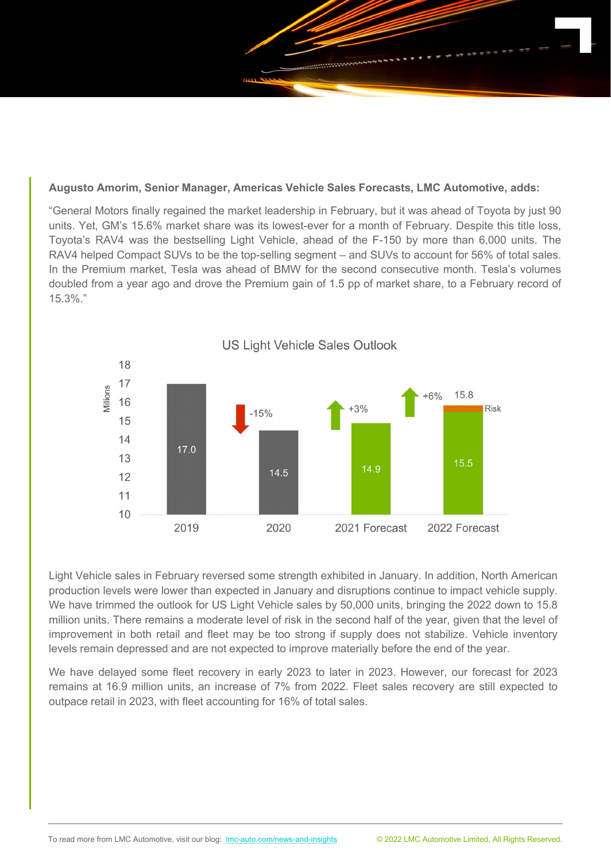

#### **Augusto Amorim, Senior Manager, Americas Vehicle Sales Forecasts, LMC Automotive, adds:**

"General Motors finally regained the market leadership in February, but it was ahead of Toyota by just 90 units. Yet, GM's 15.6% market share was its lowest-ever for a month of February. Despite this title loss, Toyota's RAV4 was the bestselling Light Vehicle, ahead of the F-150 by more than 6,000 units. The RAV4 helped Compact SUVs to be the top-selling segment – and SUVs to account for 56% of total sales. In the Premium market, Tesla was ahead of BMW for the second consecutive month. Tesla's volumes doubled from a year ago and drove the Premium gain of 1.5 pp of market share, to a February record of 15.3%."



Light Vehicle sales in February reversed some strength exhibited in January. In addition, North American production levels were lower than expected in January and disruptions continue to impact vehicle supply. We have trimmed the outlook for US Light Vehicle sales by 50,000 units, bringing the 2022 down to 15.8 million units. There remains a moderate level of risk in the second half of the year, given that the level of improvement in both retail and fleet may be too strong if supply does not stabilize. Vehicle inventory levels remain depressed and are not expected to improve materially before the end of the year.

We have delayed some fleet recovery in early 2023 to later in 2023. However, our forecast for 2023 remains at 16.9 million units, an increase of 7% from 2022. Fleet sales recovery are still expected to outpace retail in 2023, with fleet accounting for 16% of total sales.